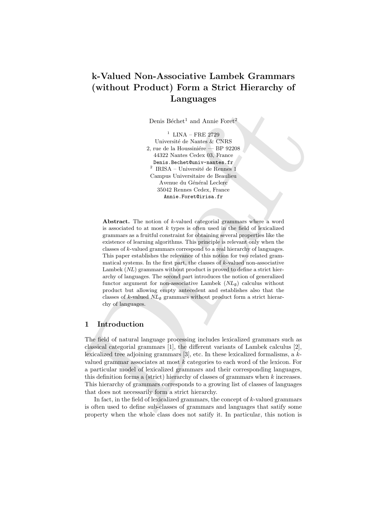# k-Valued Non-Associative Lambek Grammars (without Product) Form a Strict Hierarchy of Languages

Denis Béchet<sup>1</sup> and Annie Foret<sup>2</sup>

<sup>1</sup> LINA – FRE 2729 Université de Nantes & CNRS 2, rue de la Houssinière — BP 92208 44322 Nantes Cedex 03, France Denis.Bechet@univ-nantes.fr  $^2$ IRISA – Université de Rennes 1 Campus Universitaire de Beaulieu Avenue du Général Leclerc 35042 Rennes Cedex, France Annie.Foret@irisa.fr

Denis Bachet" and Amine Forci<br/> $\mathbb{R}^2$ . This is a finite for the properties of the function<br/> $\mathbb{R}^2$ . The Bachetter is the strongthen the property of the<br/> $\mathbb{R}^2$  and  $\mathbb{R}^2$ . The strongthen the mass Abstract. The notion of k-valued categorial grammars where a word is associated to at most  $k$  types is often used in the field of lexicalized grammars as a fruitful constraint for obtaining several properties like the existence of learning algorithms. This principle is relevant only when the classes of k-valued grammars correspond to a real hierarchy of languages. This paper establishes the relevance of this notion for two related grammatical systems. In the first part, the classes of  $k$ -valued non-associative Lambek (NL) grammars without product is proved to define a strict hierarchy of languages. The second part introduces the notion of generalized functor argument for non-associative Lambek  $(NL_{\varnothing})$  calculus without product but allowing empty antecedent and establishes also that the classes of k-valued  $NL_{\emptyset}$  grammars without product form a strict hierarchy of languages.

## 1 Introduction

The field of natural language processing includes lexicalized grammars such as classical categorial grammars [1], the different variants of Lambek calculus [2], lexicalized tree adjoining grammars [3], etc. In these lexicalized formalisms, a kvalued grammar associates at most  $k$  categories to each word of the lexicon. For a particular model of lexicalized grammars and their corresponding languages, this definition forms a (strict) hierarchy of classes of grammars when k increases. This hierarchy of grammars corresponds to a growing list of classes of languages that does not necessarily form a strict hierarchy.

In fact, in the field of lexicalized grammars, the concept of  $k$ -valued grammars is often used to define sub-classes of grammars and languages that satify some property when the whole class does not satify it. In particular, this notion is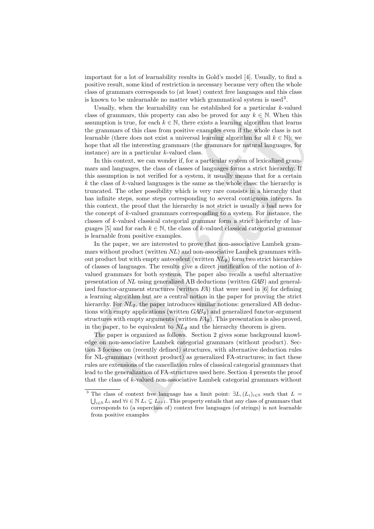important for a lot of learnability results in Gold's model [4]. Usually, to find a positive result, some kind of restriction is necessary because very often the whole class of grammars corresponds to (at least) context free languages and this class is known to be unlearnable no matter which grammatical system is used<sup>3</sup>.

Usually, when the learnability can be established for a particular  $k$ -valued class of grammars, this property can also be proved for any  $k \in \mathbb{N}$ . When this assumption is true, for each  $k \in \mathbb{N}$ , there exists a learning algorithm that learns the grammars of this class from positive examples even if the whole class is not learnable (there does not exist a universal learning algorithm for all  $k \in \mathbb{N}$ ): we hope that all the interesting grammars (the grammars for natural languages, for instance) are in a particular k-valued class.

In this context, we can wonder if, for a particular system of lexicalized grammars and languages, the class of classes of languages forms a strict hierarchy. If this assumption is not verified for a system, it usually means that for a certain k the class of k-valued languages is the same as the whole class: the hierarchy is truncated. The other possibility which is very rare consists in a hierarchy that has infinite steps, some steps corresponding to several contiguous integers. In this context, the proof that the hierarchy is not strict is usually a bad news for the concept of  $k$ -valued grammars corresponding to a system. For instance, the classes of k-valued classical categorial grammar form a strict hierarchy of languages [5] and for each  $k \in \mathbb{N}$ , the class of k-valued classical categorial grammar is learnable from positive examples.

Ussuelly, when the learn<br>dislive can be steablished for a particular class of grammars, this property can also be proved for any<br> $k \in \mathbb{N}$ . When this absurption is true, for each<br> $k \in \mathbb{N}$ , there exists a learning alg In the paper, we are interested to prove that non-associative Lambek grammars without product (written  $NL$ ) and non-associative Lambek grammars without product but with empty antecedent (written  $NL_{\emptyset}$ ) form two strict hierarchies of classes of languages. The results give a direct justification of the notion of  $k$ valued grammars for both systems. The paper also recalls a useful alternative presentation of NL using generalized AB deductions (written GAB) and generalized functor-argument structures (written FA) that were used in [6] for defining a learning algorithm but are a central notion in the paper for proving the strict hierarchy. For  $NL_{\emptyset}$ , the paper introduces similar notions: generalized AB deductions with empty applications (written  $GAB_{\emptyset}$ ) and generalized functor-argument structures with empty arguments (written  $FA_{\emptyset}$ ). This presentation is also proved, in the paper, to be equivalent to  $NL_{\emptyset}$  and the hierarchy theorem is given.

The paper is organized as follows. Section 2 gives some background knowledge on non-associative Lambek categorial grammars (without product). Section 3 focuses on (recently defined) structures, with alternative deduction rules for NL-grammars (without product) as generalized FA-structures; in fact these rules are extensions of the cancellation rules of classical categorial grammars that lead to the generalization of FA-structures used here. Section 4 presents the proof that the class of k-valued non-associative Lambek categorial grammars without

<sup>&</sup>lt;sup>3</sup> The class of context free language has a limit point:  $\exists L, (L_i)_{i\in\mathbb{N}}$  such that  $L =$  $\bigcup_{i\in\mathbb{N}} L_i$  and  $\forall i\in\mathbb{N}$   $L_i\subsetneq L_{i+1}$ . This property entails that any class of grammars that corresponds to (a superclass of) context free languages (of strings) is not learnable from positive examples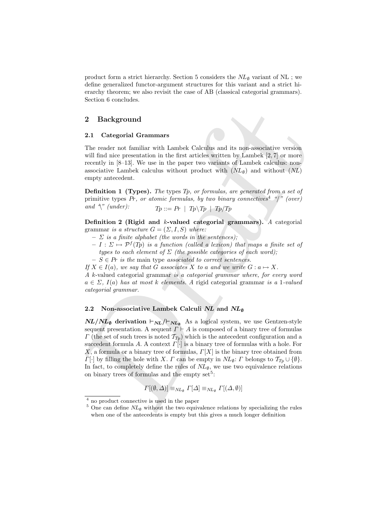product form a strict hierarchy. Section 5 considers the  $NL<sub>Ø</sub>$  variant of NL ; we define generalized functor-argument structures for this variant and a strict hierarchy theorem; we also revisit the case of AB (classical categorial grammars). Section 6 concludes.

### 2 Background

#### 2.1 Categorial Grammars

The reader not familiar with Lambek Calculus and its non-associative version will find nice presentation in the first articles written by Lambek [2, 7] or more recently in [8–13]. We use in the paper two variants of Lambek calculus: nonassociative Lambek calculus without product with  $(NL_{\emptyset})$  and without  $(NL)$ empty antecedent.

**Definition 1 (Types).** The types Tp, or formulas, are generated from a set of primitive types Pr, or atomic formulas, by two binary connectives<sup>4</sup> "/" (over) and  $\sqrt[n]{\text{ (under)}}$ :  $Tp ::= Pr | Tp \setminus Tp | Tp$ 

Definition 2 (Rigid and k-valued categorial grammars). A categorial grammar is a structure  $G = (\Sigma, I, S)$  where:

- $\sum$  is a finite alphabet (the words in the sentences);
- $-I: \Sigma \mapsto \mathcal{P}^f(T_p)$  is a function (called a lexicon) that maps a finite set of types to each element of  $\Sigma$  (the possible categories of each word);
- $S \in Pr$  is the main type associated to correct sentences.
- If  $X \in I(a)$ , we say that G associates X to a and we write  $G : a \mapsto X$ .

A k-valued categorial grammar is a categorial grammar where, for every word  $a \in \Sigma$ ,  $I(a)$  has at most k elements. A rigid categorial grammar is a 1-valued categorial grammar.

#### 2.2 Non-associative Lambek Calculi NL and  $NL<sub>@</sub>$

2 Background <br>
2.1 Categorial Grammars<br>
2.1 Categorial Grammars<br>
1.1<br/>n exacts and its non-associative version will find nice presentation in the first articles witten by Lambek [2,7] or more research in (Section) and  $NL/NL_{\emptyset}$  derivation  $\vdash_{NL}/\vdash_{NL_{\emptyset}}$  As a logical system, we use Gentzen-style sequent presentation. A sequent  $\Gamma \vdash A$  is composed of a binary tree of formulas  $\Gamma$  (the set of such trees is noted  $\mathcal{T}_{T_p}$ ) which is the antecedent configuration and a succedent formula A. A context  $\Gamma[\cdot]$  is a binary tree of formulas with a hole. For X, a formula or a binary tree of formulas,  $\Gamma[X]$  is the binary tree obtained from  $\Gamma[\cdot]$  by filling the hole with X.  $\Gamma$  can be empty in  $NL_{\emptyset}$ :  $\Gamma$  belongs to  $\mathcal{T}_{T_p} \cup \{\emptyset\}$ . In fact, to completely define the rules of  $NL_{\varnothing}$ , we use two equivalence relations on binary trees of formulas and the empty  $set^5$ :

$$
\Gamma[(\emptyset, \Delta)] \equiv_{NL_{\emptyset}} \Gamma[\Delta] \equiv_{NL_{\emptyset}} \Gamma[(\Delta, \emptyset)]
$$

<sup>4</sup> no product connective is used in the paper

 $5$  One can define  $NL_{\emptyset}$  without the two equivalence relations by specializing the rules when one of the antecedents is empty but this gives a much longer definition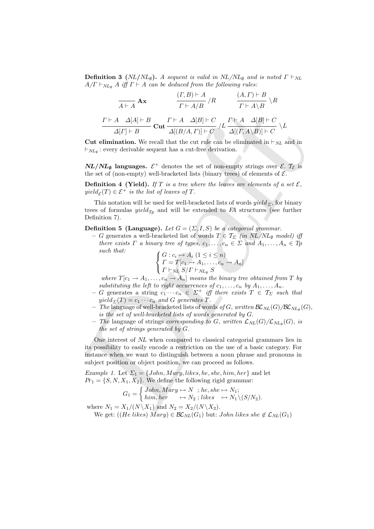**Definition 3** ( $NL/NL_{\emptyset}$ ). A sequent is valid in  $NL/NL_{\emptyset}$  and is noted  $\Gamma \vdash_{NL}$  $A/\Gamma \vdash_{NL_{\emptyset}} A$  iff  $\Gamma \vdash A$  can be deduced from the following rules:

$$
\frac{(T,B)\vdash A}{A\vdash A} \mathbf{A} \mathbf{x} \qquad \frac{(T,B)\vdash A}{\Gamma \vdash A/B} / R \qquad \frac{(A,\Gamma)\vdash B}{\Gamma \vdash A \setminus B} \setminus R
$$
\n
$$
\frac{\Gamma \vdash A \quad \Delta[A]\vdash B}{\Delta[\Gamma]\vdash B} \mathbf{Cut} \frac{\Gamma \vdash A \quad \Delta[B]\vdash C}{\Delta[(B/A,\Gamma)]\vdash C} / L \frac{\Gamma \vdash A \quad \Delta[B]\vdash C}{\Delta[(\Gamma,A\setminus B)]\vdash C} \setminus L
$$

**Cut elimination.** We recall that the cut rule can be eliminated in  $\vdash_{NL}$  and in  $\vdash_{NL_{\emptyset}}$ : every derivable sequent has a cut-free derivation.

 $NL/NL<sub>Ø</sub>$  languages.  $\mathcal{E}^+$  denotes the set of non-empty strings over  $\mathcal{E}$ .  $\mathcal{T}_{\mathcal{E}}$  is the set of (non-empty) well-bracketed lists (binary trees) of elements of  $\mathcal{E}$ .

**Definition 4 (Yield).** If T is a tree where the leaves are elements of a set  $\mathcal{E}$ ,  $yield_{\mathcal{E}}(T) \in \mathcal{E}^+$  is the list of leaves of T.

This notation will be used for well-bracketed lists of words  $yield_{\Sigma}$ , for binary trees of formulas  $yield_{Tp}$  and will be extended to  $FA$  structures (see further Definition 7).

**Definition 5 (Language).** Let  $G = (\Sigma, I, S)$  be a categorial grammar.

– G generates a well-bracketed list of words  $T \in \mathcal{T}_{\Sigma}$  (in  $NL/NL_{\emptyset}$  model) iff there exists  $\Gamma$  a binary tree of types,  $c_1, \ldots, c_n \in \Sigma$  and  $A_1, \ldots, A_n \in T_p$ such that:

$$
\begin{cases} G: c_i \mapsto A_i \ (1 \leq i \leq n) \\ \Gamma = T[c_1 \to A_1, \dots, c_n \to A_n] \\ \Gamma \vdash_{NL} S/\Gamma \vdash_{NL_\emptyset} S \end{cases}
$$

where  $T[c_1 \rightarrow A_1, \ldots, c_n \rightarrow A_n]$  means the binary tree obtained from T by substituting the left to right occurrences of  $c_1, \ldots, c_n$  by  $A_1, \ldots, A_n$ .

- G generates a string  $c_1 \cdots c_n \in \Sigma^+$  iff there exists  $T \in \mathcal{T}_{\Sigma}$  such that  $yield_{\Sigma}(T) = c_1 \cdots c_n$  and G generates T.
- The language of well-bracketed lists of words of G, written  $\mathcal{BL}_{NL}(G)/\mathcal{BL}_{NL}(G)$ , is the set of well-bracketed lists of words generated by G.
- $-$  The language of strings corresponding to G, written  $\mathcal{L}_{NL}(G)/\mathcal{L}_{NL_{\emptyset}}(G)$ , is the set of strings generated by G.

 $F \rightharpoonup A \rightharpoonup B$ <br>  $F \rightharpoonup A \rightharpoonup B$ <br>  $F \rightharpoonup A \rightharpoonup B$   $F \rightharpoonup A \rightharpoonup B$ <br>  $\Delta[(T \rightharpoonup B \rightharpoonup C \rightharpoonup A \rightharpoonup B] \rightharpoonup C \rightharpoonup A \rightharpoonup B] \rightharpoonup C$ <br>
Cut elimination. We recall that the ent ratio can be eliminated in  $\vdash_{NL}$  and One interest of NL when compared to classical categorial grammars lies in its possibility to easily encode a restriction on the use of a basic category. For instance when we want to distinguish between a noun phrase and pronouns in subject position or object position, we can proceed as follows.

Example 1. Let  $\Sigma_1 = \{John, Mary, likes, he, she, him, her\}$  and let  $Pr_1 = \{S, N, X_1, X_2\}$ . We define the following rigid grammar:

$$
G_1 = \begin{cases} John, Mary \mapsto N \; ; he, she \mapsto N_1; \\ him, her \quad \mapsto N_2 \; ; likes \quad \mapsto N_1 \setminus (S/N_2). \end{cases}
$$

where  $N_1 = X_1/(N \backslash X_1)$  and  $N_2 = X_2/(N \backslash X_2)$ . We get:  $((He\,likes)\,Mary) \in \mathcal{BL}_{NL}(G_1)$  but: John likes she  $\notin \mathcal{L}_{NL}(G_1)$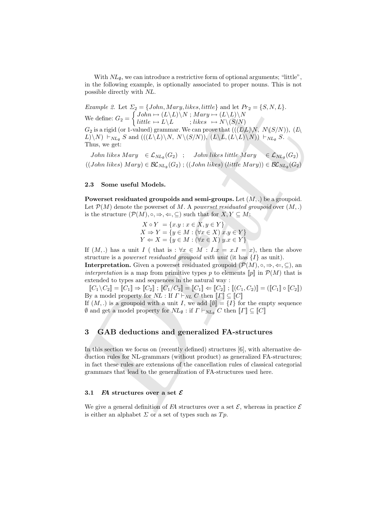With  $NL_{\emptyset}$ , we can introduce a restrictive form of optional arguments; "little", in the following example, is optionally associated to proper nouns. This is not possible directly with NL.

Draft Example 2. Let  $\Sigma_2 = \{John, Mary, likes, little\}$  and let  $Pr_2 = \{S, N, L\}.$ We define:  $G_2 =$  $\int John \mapsto (L\backslash L)\backslash N$  ;  $Mary \mapsto (L\backslash L)\backslash N$  $little \rightarrow L\backslash L \qquad ; likes \rightarrow N \backslash (S/N)$  $G_2$  is a rigid (or 1-valued) grammar. We can prove that  $((L\&L)\&N, N\&S/N), (L\&C)$  $L(\setminus N) \vdash_{NL_{\emptyset}} S$  and  $((L\setminus L)\setminus N, N\setminus (S/N)), (L\setminus L, (L\setminus L)\setminus N) \vdash_{NL_{\emptyset}} S.$ Thus, we get:

John likes  $Mary \in \mathcal{L}_{NL_{\emptyset}}(G_2)$ ; John likes little  $Mary \in \mathcal{L}_{NL_{\emptyset}}(G_2)$  $((John\ likes)\ Mary) \in \mathcal{BL}_{NL_{\emptyset}}(G_2)$  ;  $((John\ likes)\ (little\ Mary)) \in \mathcal{BL}_{NL_{\emptyset}}(G_2)$ 

#### 2.3 Some useful Models.

Powerset residuated groupoids and semi-groups. Let  $(M, .)$  be a groupoid. Let  $\mathcal{P}(M)$  denote the powerset of M. A powerset residuated groupoid over  $(M, .)$ is the structure  $(\mathcal{P}(M), \circ, \Rightarrow, \Leftarrow, \subseteq)$  such that for  $X, Y \subseteq M$ :

$$
X \circ Y = \{x.y : x \in X, y \in Y\}
$$
  
\n
$$
X \Rightarrow Y = \{y \in M : (\forall x \in X) \ x.y \in Y\}
$$
  
\n
$$
Y \Leftarrow X = \{y \in M : (\forall x \in X) \ y.x \in Y\}
$$

If  $(M,.)$  has a unit I ( that is :  $\forall x \in M : I.x = x.I = x$ ), then the above structure is a *powerset residuated groupoid with unit* (it has  $\{I\}$  as unit).

**Interpretation.** Given a powerset residuated groupoid  $(\mathcal{P}(M), \circ, \Rightarrow, \Leftarrow, \subseteq)$ , an interpretation is a map from primitive types p to elements  $[p]$  in  $\mathcal{P}(M)$  that is extended to types and sequences in the natural way :

 $\llbracket C_1 \backslash C_2 \rrbracket = \llbracket C_1 \rrbracket \Rightarrow \llbracket C_2 \rrbracket$  ;  $\llbracket C_1 \backslash C_2 \rrbracket = \llbracket C_1 \rrbracket \Leftrightarrow \llbracket C_2 \rrbracket$  ;  $\llbracket (C_1, C_2) \rrbracket = (\llbracket C_1 \rrbracket \circ \llbracket C_2 \rrbracket)$ By a model property for  $\overline{NL}$  : If  $\Gamma \vdash_{\overline{NL}} C$  then  $\llbracket \Gamma \rrbracket \subseteq \llbracket C \rrbracket$ 

If  $(M,.)$  is a groupoid with a unit I, we add  $[\![\emptyset]\!] = \{I\}$  for the empty sequence  $\emptyset$  and get a model property for  $NL_{\emptyset}$  : if  $\Gamma \vdash_{NL_{\emptyset}} C$  then  $\llbracket \Gamma \rrbracket \subseteq \llbracket C \rrbracket$ 

## 3 GAB deductions and generalized FA-structures

In this section we focus on (recently defined) structures [6], with alternative deduction rules for NL-grammars (without product) as generalized FA-structures; in fact these rules are extensions of the cancellation rules of classical categorial grammars that lead to the generalization of FA-structures used here.

#### 3.1  $\mathbb H$  structures over a set  $\mathcal E$

We give a general definition of FA structures over a set  $\mathcal{E}$ , whereas in practice  $\mathcal{E}$ is either an alphabet  $\Sigma$  or a set of types such as  $Tp$ .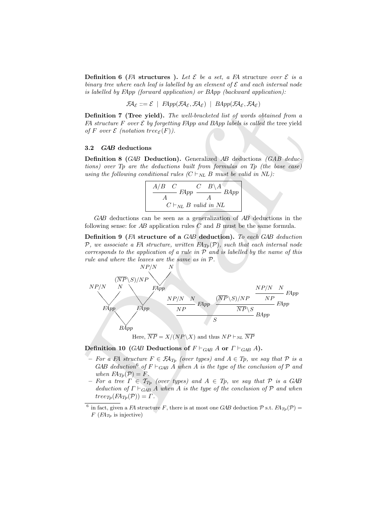**Definition 6** (FA structures ). Let  $\mathcal E$  be a set, a FA structure over  $\mathcal E$  is a binary tree where each leaf is labelled by an element of  $\mathcal E$  and each internal node is labelled by FApp (forward application) or BApp (backward application):

$$
\mathcal{F} \mathcal{A}_{\mathcal{E}} ::= \mathcal{E} \mid \ \mathit{FApp}(\mathcal{F} \mathcal{A}_{\mathcal{E}}, \mathcal{F} \mathcal{A}_{\mathcal{E}}) \mid \ \mathit{BApp}(\mathcal{F} \mathcal{A}_{\mathcal{E}}, \mathcal{F} \mathcal{A}_{\mathcal{E}})
$$

Definition 7 (Tree yield). The well-bracketed list of words obtained from a FA structure F over  $\mathcal E$  by forgetting FApp and BApp labels is called the tree yield of F over  $\mathcal E$  (notation tree $\varepsilon(F)$ ).

#### 3.2 GAB deductions

Definition 8 (GAB Deduction). Generalized AB deductions (GAB deductions) over Tp are the deductions built from formulas on Tp (the base case) using the following conditional rules  $(C \vdash_{NL} B$  must be valid in NL):

$$
\frac{A/B \quad C}{A} \quad \text{FApp} \quad \frac{C \quad B \setminus A}{A} \quad \text{BApp} \quad C \vdash_{NL} B \quad \text{valid in NL}
$$

GAB deductions can be seen as a generalization of AB deductions in the following sense: for  $AB$  application rules  $C$  and  $B$  must be the same formula.

Definition 9 (FA structure of a GAB deduction). To each GAB deduction P, we associate a FA structure, written  $FA_{T_p}(\mathcal{P})$ , such that each internal node corresponds to the application of a rule in  $\mathcal P$  and is labelled by the name of this rule and where the leaves are the same as in  $P$ .<br> $N P/N$ 



Here,  $\overline{NP} = X/(NP \backslash X)$  and thus  $NP \vdash_{NL} \overline{NP}$ 

### Definition 10 (GAB Deductions of  $F \vdash_{GAB} A$  or  $\Gamma \vdash_{GAB} A$ ).

- For a FA structure  $F \in \mathcal{F}A_{Tp}$  (over types) and  $A \in Tp$ , we say that P is a GAB deduction<sup>6</sup> of  $F \vdash_{\text{GAB}} A$  when A is the type of the conclusion of P and when  $FA_{Tp}(\mathcal{P}) = F$ .
- For a tree  $\Gamma \in \mathcal{T}_{T_p}$  (over types) and  $A \in T_p$ , we say that  $\mathcal{P}$  is a GAB deduction of  $\Gamma \vdash_{GAB} A$  when A is the type of the conclusion of P and when  $tree_{T_p}(FA_{T_p}(\mathcal{P})) = \Gamma.$

<sup>&</sup>lt;sup>6</sup> in fact, given a FA structure F, there is at most one GAB deduction  $P$  s.t.  $FA_{Tp}(P)$  =  $F$  ( $FA_{Tp}$  is injective)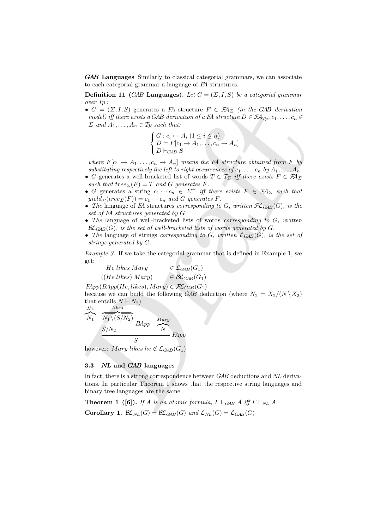GAB Languages Similarly to classical categorial grammars, we can associate to each categorial grammar a language of FA structures.

**Definition 11 (GAB Languages).** Let  $G = (\Sigma, I, S)$  be a categorial grammar over Tp :

•  $G = (\Sigma, I, S)$  generates a FA structure  $F \in \mathcal{F}A_{\Sigma}$  (in the GAB derivation model) iff there exists a GAB derivation of a FA structure  $D \in \mathcal{F}A_{T_p}, c_1, \ldots, c_n \in$  $\Sigma$  and  $A_1, \ldots, A_n \in T_p$  such that:

$$
\begin{cases} G: c_i \mapsto A_i \ (1 \leq i \leq n) \\ D = F[c_1 \to A_1, \dots, c_n \to A_n] \\ D \vdash_{GAB} S \end{cases}
$$

where  $F[c_1 \rightarrow A_1, \ldots, c_n \rightarrow A_n]$  means the FA structure obtained from F by substituting respectively the left to right occurrences of  $c_1, \ldots, c_n$  by  $A_1, \ldots, A_n$ .

- G generates a well-bracketed list of words  $T \in \mathcal{T}_{\Sigma}$  iff there exists  $F \in \mathcal{F} \mathcal{A}_{\Sigma}$ such that tree $\sum(F) = T$  and G generates F.
- G generates a string  $c_1 \cdots c_n \in \Sigma^+$  iff there exists  $F \in \mathcal{F}A_{\Sigma}$  such that  $yield_{\Sigma}(tree_{\Sigma}(F)) = c_1 \cdots c_n$  and G generates F.
- The language of FA structures corresponding to G, written  $\mathcal{FL}_{GAB}(G)$ , is the set of FA structures generated by G.
- The language of well-bracketed lists of words *corresponding to G*, written  $\mathcal{BL}_{GAB}(G)$ , is the set of well-bracketed lists of words generated by G.
- The language of strings corresponding to  $G$ , written  $\mathcal{L}_{GAB}(G)$ , is the set of strings generated by G.

Example 3. If we take the categorial grammar that is defined in Example 1, we get:

He likes Mary  $\in \mathcal{L}_{GAB}(G_1)$  $((He\,likes)\,Mary) \qquad \in \mathcal{BL}_{GAB}(G_1)$ 

 $FApp(BApp(He, likes), Mary) \in \mathcal{FL}_{GAB}(G_1)$ 

because we can build the following GAB deduction (where  $N_2 = X_2/(N \backslash X_2)$ that entails  $N \vdash N_2$ :

$$
\frac{He}{N_1} \frac{Ni\cancel{ks}}{N_1 \backslash (S/N_2)} BApp \frac{Mary}{N}
$$
  

$$
\frac{S/N_2}{S} \frac{Hary}{N}
$$

however: Mary likes he  $\notin \mathcal{L}_{GAB}(G_1)$ 

#### 3.3 NL and GAB languages

• G = (2.1, S) generates a FM structure  $F \in \mathbb{Z}4$ , (in the GMB derivation<br>
model) iff there exists a GAR derivations of a FA structure  $P \in \mathbb{Z}4$ ,  $\epsilon_1$  ( $\epsilon_2$  is eq. i)<br>  $D$  and  $A_1, \ldots, A_n \in Tp$  such that:<br>  $\begin{cases}$ In fact, there is a strong correspondence between GAB deductions and NL derivations. In particular Theorem 1 shows that the respective string languages and binary tree languages are the same.

**Theorem 1** ([6]). If A is an atomic formula,  $\Gamma \vdash_{GAB} A$  iff  $\Gamma \vdash_{NL} A$ Corollary 1.  $\mathcal{BL}_{NL}(G) = \mathcal{BL}_{GAB}(G)$  and  $\mathcal{L}_{NL}(G) = \mathcal{L}_{GAB}(G)$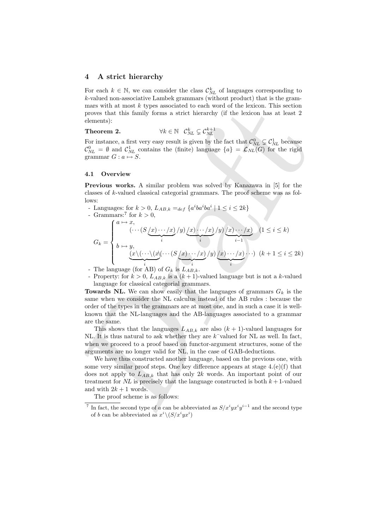#### 4 A strict hierarchy

For each  $k \in \mathbb{N}$ , we can consider the class  $\mathcal{C}_{NL}^k$  of languages corresponding to k-valued non-associative Lambek grammars (without product) that is the grammars with at most  $k$  types associated to each word of the lexicon. This section proves that this family forms a strict hierarchy (if the lexicon has at least 2 elements):

Theorem 2.  $\forall k \in \mathbb{N} \quad \mathcal{C}_{NL}^k \subsetneq \mathcal{C}_{NL}^{k+1}$ 

For instance, a first very easy result is given by the fact that  $\mathcal{C}_{NL}^0 \subsetneq \mathcal{C}_{NL}^1$  because  $\mathcal{C}_{NL}^0 = \emptyset$  and  $\mathcal{C}_{NL}^1$  contains the (finite) language  $\{a\} = \mathcal{L}_{NL}(G)$  for the rigid grammar  $G : a \mapsto S$ .

#### 4.1 Overview

Previous works. A similar problem was solved by Kanazawa in [5] for the classes of k-valued classical categorial grammars. The proof scheme was as follows:

- mass with a most k types associated to each word of the lexicon. Ins section<br>proves that this family forms a strict hierarchy (if the lexicon has at least 2<br>channels):<br>
Theorem 2.  $\forall k \in \mathbb{N}$   $\mathcal{C}_{N_k}^k \subseteq \mathcal{C}_{N_k}^k$ . - Languages: for  $k > 0$ ,  $L_{AB,k} =_{def} \{a^i b a^i b a^i \mid 1 \leq i \leq 2k\}$ - Grammars:<sup>7</sup> for  $k > 0$ ,  $G_k =$  $\sqrt{ }$  $\Big\}$  $\overline{\mathcal{L}}$  $a \mapsto x,$  $\left(\cdots(S\left(x\right)\cdots\left/x\right)$  $\underbrace{\qquad \qquad }_{i}$  $/y)\big(x)\cdots/x\big)$  $\overbrace{\phantom{aaaaa}}^i$  $/y)\big(x)\cdots/x\big)$ | {z } i−1  $(1 \leq i \leq k)$  $b \mapsto y,$  $(x\backslash(\cdots\backslash(x))$  $\underbrace{\qquad \qquad }_{i}$  $\left(\cdots(S\left(x\right)\cdots\left/x\right)$  $\sum_i$  $(y)(x)\cdots(x)$  $\overline{\phantom{a} \cdot \phantom{a}}$  $\cdot \cdot \cdot$ )  $(k+1 \leq i \leq 2k)$ 
	- The language (for AB) of  $G_k$  is  $L_{AB}$ .
	- Property: for  $k > 0$ ,  $L_{AB,k}$  is a  $(k+1)$ -valued language but is not a k-valued language for classical categorial grammars.

Towards NL. We can show easily that the languages of grammars  $G_k$  is the same when we consider the NL calculus instead of the AB rules : because the order of the types in the grammars are at most one, and in such a case it is wellknown that the NL-languages and the AB-languages associated to a grammar are the same.

This shows that the languages  $L_{AB,k}$  are also  $(k + 1)$ -valued languages for NL. It is thus natural to ask whether they are  $k^-$ valued for NL as well. In fact, when we proceed to a proof based on functor-argument structures, some of the arguments are no longer valid for NL, in the case of GAB-deductions.

We have thus constructed another language, based on the previous one, with some very similar proof steps. One key difference appears at stage 4.(e)(f) that does not apply to  $L_{AB,k}$  that has only 2k words. An important point of our treatment for NL is precisely that the language constructed is both  $k+1$ -valued and with  $2k + 1$  words.

The proof scheme is as follows:

<sup>&</sup>lt;sup>7</sup> In fact, the second type of a can be abbreviated as  $S/x^{i}yx^{i}y^{i-1}$  and the second type of b can be abbreviated as  $x^i \setminus (S/x^i y x^i)$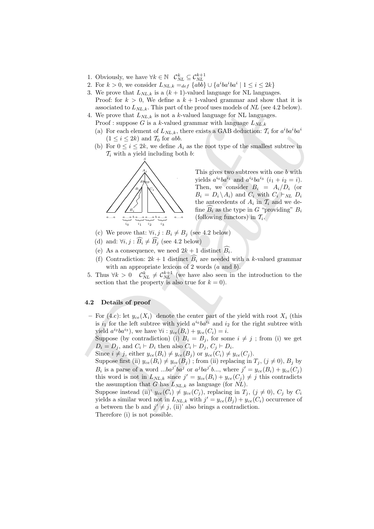- 1. Obviously, we have  $\forall k \in \mathbb{N}$   $\mathcal{C}_{NL}^k \subseteq \mathcal{C}_{NL}^{k+1}$
- 2. For  $k > 0$ , we consider  $L_{NL,k} =_{def} \{abb\} \cup \{a^i b a^i b a^i \mid 1 \le i \le 2k\}$
- 3. We prove that  $L_{NL,k}$  is a  $(k+1)$ -valued language for NL languages. Proof: for  $k > 0$ , We define a  $k + 1$ -valued grammar and show that it is associated to  $L_{NL,k}$ . This part of the proof uses models of NL (see 4.2 below).
- 4. We prove that  $L_{NL,k}$  is not a k-valued language for NL languages. Proof : suppose G is a k-valued grammar with language  $L_{NL,k}$ 
	- (a) For each element of  $L_{NL,k}$ , there exists a GAB deduction:  $\mathcal{T}_i$  for  $a^i b a^i b a^i$  $(1 \leq i \leq 2k)$  and  $\mathcal{T}_0$  for abb.
	- (b) For  $0 \le i \le 2k$ , we define  $A_i$  as the root type of the smallest subtree in  $\mathcal{T}_i$  with a yield including both  $b$ :



This gives two subtrees with one b with yields  $a^{i_0}ba^{i_1}$  and  $a^{i_2}ba^{i_3}$   $(i_1 + i_2 = i)$ . Then, we consider  $B_i = A_i/D_i$  (or  $B_i = D_i \backslash A_i$  and  $C_i$  with  $C_i \vdash_{NL} D_i$ the antecedents of  $A_i$  in  $\mathcal{T}_i$  and we define  $B_i$  as the type in G "providing"  $B_i$ (following functors) in  $\mathcal{T}_i$ .

- (c) We prove that:  $\forall i, j : B_i \neq B_j$  (see 4.2 below)
- (d) and:  $\forall i, j : \widehat{B_i} \neq \widehat{B_j}$  (see 4.2 below)
- (e) As a consequence, we need  $2k+1$  distinct  $B_i$ .
- (f) Contradiction:  $2k + 1$  distinct  $B_i$  are needed with a k-valued grammar with an appropriate lexicon of 2 words  $(a \text{ and } b)$ .
- 5. Thus  $\forall k > 0$   $\mathcal{C}_{NL}^k \neq \mathcal{C}_{NL}^{k+1}$  (we have also seen in the introduction to the section that the property is also true for  $k = 0$ ).

#### 4.2 Details of proof

– For (4.c): let  $y_{ce}(X_i)$  denote the center part of the yield with root  $X_i$  (this is  $i_1$  for the left subtree with yield  $a^{i_0}ba^{i_1}$  and  $i_2$  for the right subtree with yield  $a^{i_2}ba^{i_3}$ , we have  $\forall i: y_{ce}(B_i) + y_{ce}(C_i) = i$ .

Suppose (by contradiction) (i)  $B_i = B_j$ , for some  $i \neq j$ ; from (i) we get  $D_i = D_j$ , and  $C_i \vdash D_i$  then also  $C_i \vdash D_j$ ,  $C_j \vdash D_i$ .

Since  $i \neq j$ , either  $y_{ce}(B_i) \neq y_{ce}(B_j)$  or  $y_{ce}(C_i) \neq y_{ce}(C_j)$ .

associated to  $L_{NL,k}$ . This part of the proof uses models of  $M_L$  (see 4.2 below).<br>
We prove that  $L_{NL,k}$ , is not a k-valued gammar with hanging e. Eq. 2 below).<br>
Proof: suppose G is a k-valued gammar with hanging e. Eq. Suppose first (ii)  $y_{ce}(B_i) \neq y_{ce}(B_j)$ ; from (ii) replacing in  $T_j$ ,  $(j \neq 0)$ ,  $B_j$  by  $B_i$  is a parse of a word  $...ba^{j'}ba^{j}$  or  $a^{j}ba^{j'}b...,$  where  $j' = y_{ce}(B_i) + y_{ce}(C_j)$ this word is not in  $L_{NL,k}$  since  $j' = y_{ce}(B_i) + y_{ce}(C_j) \neq j$  this contradicts the assumption that G has  $L_{NL,k}$  as language (for NL).

Suppose instead (ii)'  $y_{ce}(C_i) \neq y_{ce}(C_j)$ , replacing in  $T_j$ ,  $(j \neq 0)$ ,  $C_j$  by  $C_i$ yields a similar word not in  $L_{NL,k}$  with  $j' = y_{ce}(B_j) + y_{ce}(C_i)$  occurrence of a between the b and  $j' \neq j$ , (ii)' also brings a contradiction. Therefore (i) is not possible.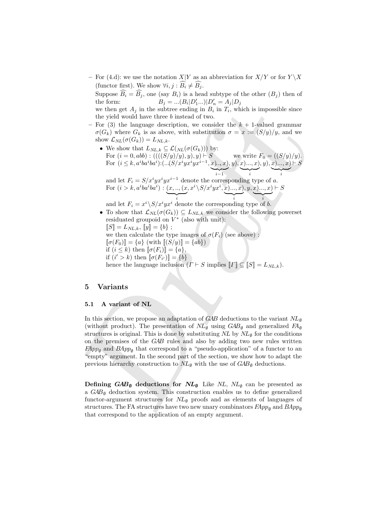– For (4.d): we use the notation  $X|Y$  as an abbreviation for  $X/Y$  or for  $Y\setminus X$ (functor first). We show  $\forall i, j : B_i \neq \overline{B_i}$ .

Suppose  $\widehat{B_i} = \widehat{B_j}$ , one (say  $B_i$ ) is a head subtype of the other  $(B_j)$  then of the form:  $B_i = ... (B_i | D'_1 ...)| D'_n = A_i | D_i$ the form:  $B_j = ... (B_i | D'_1 ... ) | D'_n = A_j | D_j$ 

we then get  $A_j$  in the subtree ending in  $B_i$  in  $T_i$ , which is impossible since the yield would have three b instead of two.

- For (3) the language description, we consider the  $k + 1$ -valued grammar  $\sigma(G_k)$  where  $G_k$  is as above, with substitution  $\sigma = x := (S/y)/y$ , and we show  $\mathcal{L}_{NL}(\sigma(G_k)) = L_{NL,k}$ .
	- We show that  $L_{NL,k} \subseteq \mathcal{L}(N_{NL}(\sigma(G_k)))$  by: For  $(i = 0, abb) : (((S/y)/y), y), y) \vdash S$  we write  $F_0 = ((S/y)/y)$ . For  $(i \leq k, a^i b a^i b a^i)$ : $( ...(S/x^i y x^i y x^{i-1}, x) ... , x )$  $\sum_{i=1}$  $, y), x) ..., x)$  $\underbrace{\qquad \qquad }_{i}$  $, y), x) ..., x)$  $\underbrace{\qquad \qquad }_{i}$  $\vdash S$ and let  $F_i = S/x^i y x^i y x^{i-1}$  denote the corresponding type of a. For  $(i > k, a^iba^iba^i) : (x, ..., (x, x^i \setminus S/x^iyx^i, x)..., x), y, x) ... , x) \vdash S$

 $\rightarrow$ 

 $\rightarrow$ 

i i i and let  $F_i = x^i \n\setminus S/x^i y x^i$  denote the corresponding type of b.

 $\rightarrow$ 

- To show that  $\mathcal{L}_{NL}(\sigma(G_k)) \subseteq L_{NL,k}$  we consider the following powerset residuated groupoid on  $V^*$  (also with unit):  $[[S] = L_{NL,k}, [y] = \{b\}$ ; we then calculate the type images of  $\sigma(F_i)$  (see above):
	- $[\![\sigma(F_0)]\!] = \{a\}$  (with  $[\![(S/y)]\!] = \{ab\}$ )
	- if  $(i \leq k)$  then  $[\![\sigma(F_i)]\!] = \{a\},\$
	- if  $(i' > k)$  then  $[\![\sigma(F_{i'})]\!] = \{b\}$
	- hence the language inclusion  $(\Gamma \vdash S \text{ implies } ||\Gamma|| \subseteq ||S|| = L_{NL,k}).$

## 5 Variants

#### 5.1 A variant of NL

we then get  $A_1$  in the subtree canding in  $B_1$  in  $T_i$ , which is impossible since<br>the yield would have three binstead of two.<br>For (3) the language description, we consider the  $k + 1$ -valued grammar<br> $\sigma(G_k)$  bielding<br> $\sigma$ In this section, we propose an adaptation of GAB deductions to the variant  $NL_{\emptyset}$ (without product). The presentation of  $NL_{\emptyset}$  using  $GAB_{\emptyset}$  and generalized  $FA_{\emptyset}$ structures is original. This is done by substituting  $NL$  by  $NL<sub>\emptyset</sub>$  for the conditions on the premises of the GAB rules and also by adding two new rules written  $FApp_{\emptyset}$  and  $BApp_{\emptyset}$  that correspond to a "pseudo-application" of a functor to an "empty" argument. In the second part of the section, we show how to adapt the previous hierarchy construction to  $NL_{\emptyset}$  with the use of  $GAB_{\emptyset}$  deductions.

Defining  $GAB_{\emptyset}$  deductions for  $NL_{\emptyset}$  Like  $NL$ ,  $NL_{\emptyset}$  can be presented as a  $GAB_{\emptyset}$  deduction system. This construction enables us to define generalized functor-argument structures for  $NL_{\emptyset}$  proofs and as elements of languages of structures. The FA structures have two new unary combinators  $FApp_{\emptyset}$  and  $BApp_{\emptyset}$ that correspond to the application of an empty argument.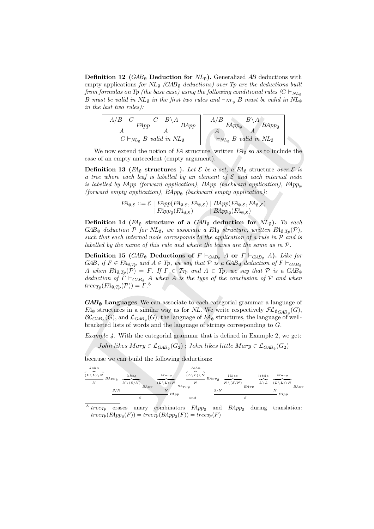**Definition 12** (GAB<sub>Ø</sub> Deduction for  $NL_{\emptyset}$ ). Generalized AB deductions with empty applications for  $NL_{\emptyset}$  (GAB<sub> $\emptyset$ </sub> deductions) over Tp are the deductions built from formulas on Tp (the base case) using the following conditional rules  $(C \vdash_{NL_{\mathfrak{g}}}$ B must be valid in  $NL_{\emptyset}$  in the first two rules and  $\vdash_{NL_{\emptyset}} B$  must be valid in  $NL_{\emptyset}$ in the last two rules):

| $A/B$ $C$<br>$C$ $B \setminus A$<br><b>BApp</b><br>FAvv | $\mathbf{D}$<br>$FApp_{\emptyset}$<br>$BApp_\emptyset$ |
|---------------------------------------------------------|--------------------------------------------------------|
|                                                         |                                                        |
| $C\vdash_{NL_{\emptyset}} B$ valid in $NL_{\emptyset}$  | $\vdash_{NL_{\emptyset}} B$ valid in $NL_{\emptyset}$  |

We now extend the notion of  $FA$  structure, written  $FA_{\emptyset}$  so as to include the case of an empty antecedent (empty argument).

**Definition 13** ( $FA_{\emptyset}$  structures ). Let  $\mathcal{E}$  be a set, a  $FA_{\emptyset}$  structure over  $\mathcal{E}$  is a tree where each leaf is labelled by an element of  $\mathcal E$  and each internal node is labelled by FApp (forward application), BApp (backward application), FApp<sub>®</sub> (forward empty application),  $BApp_{\emptyset}$  (backward empty application):

$$
FA_{\emptyset, \mathcal{E}} ::= \mathcal{E} \mid \underline{FApp}(\underline{FA}_{\emptyset, \mathcal{E}}, \underline{FA}_{\emptyset, \mathcal{E}}) \mid \underline{BApp}(\underline{FA}_{\emptyset, \mathcal{E}}, \underline{FA}_{\emptyset, \mathcal{E}}) \mid \underline{BApp}_{\emptyset}(\underline{FA}_{\emptyset, \mathcal{E}}) \mid \underline{BApp}_{\emptyset}(\underline{FA}_{\emptyset, \mathcal{E}})
$$

Definition 14 ( $FA_{\emptyset}$  structure of a  $GAB_{\emptyset}$  deduction for  $NL_{\emptyset}$ ). To each GAB<sub>Ø</sub> deduction  $P$  for  $NL_{\emptyset}$ , we associate a  $FA_{\emptyset}$  structure, written  $FA_{\emptyset, Tp}(\mathcal{P})$ , such that each internal node corresponds to the application of a rule in  $P$  and is labelled by the name of this rule and where the leaves are the same as in  $\mathcal{P}$ .

in the last two rules):<br>  $\frac{A/B}{C} = E_{Mqq}$  or  $\frac{A/B}{A}$   $\frac{B}{A}$   $\frac{B}{A}$   $\frac{B}{A}$   $\frac{B}{A}$   $\frac{B}{A}$   $\frac{B}{A}$   $\frac{B}{A}$   $\frac{B}{A}$   $\frac{B}{A}$   $\frac{C}{A}$   $\frac{C}{A}$   $\frac{C}{A}$   $\frac{C}{A}$   $\frac{C}{A}$   $\frac{C}{A}$   $\frac{C}{A}$   $\frac{$ Definition 15 ( $GAB_{\emptyset}$  Deductions of  $F \vdash_{GAB_{\emptyset}} A$  or  $\Gamma \vdash_{GAB_{\emptyset}} A$ ). Like for GAB, if  $F \in FA_{\emptyset, T_p}$  and  $A \in T_p$ , we say that  $P$  is a  $GAB_{\emptyset}$  deduction of  $F \vdash_{GAB_{\emptyset}}$ A when  $FA_{\emptyset,Tp}(\mathcal{P}) = F$ . If  $\Gamma \in \mathcal{T}_{Tp}$  and  $A \in T_p$ , we say that  $\mathcal P$  is a  $GAB_{\emptyset}$ deduction of  $\Gamma \vdash_{\text{GAB}_0} A$  when A is the type of the conclusion of  $\mathcal P$  and when  $tree_{Tp}(FA_{\emptyset,Tp}(\mathcal{P})) = \Gamma.^8$ 

 $GAB<sub>Ø</sub>$  Languages We can associate to each categorial grammar a language of  $FA_{\emptyset}$  structures in a similar way as for NL. We write respectively  $\mathcal{FL}_{\emptyset GAB_{\emptyset}}(G)$ ,  $\mathcal{BL}_{GAB_{\emptyset}}(G)$ , and  $\mathcal{L}_{GAB_{\emptyset}}(G)$ , the language of  $FA_{\emptyset}$  structures, the language of wellbracketed lists of words and the language of strings corresponding to G.

*Example 4.* With the categorial grammar that is defined in Example 2, we get:

John likes  $Mary \in \mathcal{L}_{GAB_{\emptyset}}(G_2)$  ; John likes little  $Mary \in \mathcal{L}_{GAB_{\emptyset}}(G_2)$ 

because we can build the following deductions:

| John<br>$(L \setminus L) \setminus N$<br>$BApp_{\emptyset}$<br>N |     | $like$ s<br>$N \setminus (S/N)$ | Mary<br>$(L\setminus L)\setminus N$ | John<br>$(L\setminus L)\setminus N$<br>N | $BApp_{\emptyset}$ | $like$ s<br>$N \setminus (S/N)$ | little<br>$L \setminus L$ | Mary<br>$(L \setminus L) \setminus N$ |         |
|------------------------------------------------------------------|-----|---------------------------------|-------------------------------------|------------------------------------------|--------------------|---------------------------------|---------------------------|---------------------------------------|---------|
|                                                                  | S/N | BApp<br>S                       | N<br>$FA$ $pp$                      | $-BApp_{\emptyset}$<br>and               | S/N                | $BA$ $p$ $p$                    |                           | $FA$ $p$ $p$                          | $BA$ pp |

<sup>&</sup>lt;sup>8</sup> tree<sub>Tp</sub> erases unary combinators  $FApp_{\emptyset}$  and  $BApp_{\emptyset}$  during translation:  $tree_{Tp}(FApp_{\emptyset}(F)) = tree_{Tp}(BApp_{\emptyset}(F)) = tree_{Tp}(F)$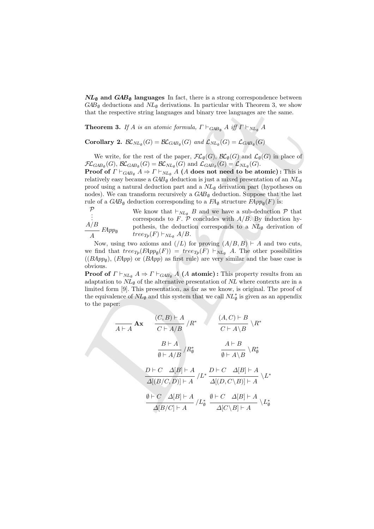$NL_{\emptyset}$  and  $GAB_{\emptyset}$  languages In fact, there is a strong correspondence between  $GAB_{\emptyset}$  deductions and  $NL_{\emptyset}$  derivations. In particular with Theorem 3, we show that the respective string languages and binary tree languages are the same.

**Theorem 3.** If A is an atomic formula,  $\Gamma \vdash_{\text{GAB}_0} A$  iff  $\Gamma \vdash_{\text{NL}_0} A$ 

**Corollary 2.**  $\mathcal{BL}_{NL_{\emptyset}}(G) = \mathcal{BL}_{GAB_{\emptyset}}(G)$  and  $\mathcal{L}_{NL_{\emptyset}}(G) = \mathcal{L}_{GAB_{\emptyset}}(G)$ 

We write, for the rest of the paper,  $\mathcal{FL}_{\emptyset}(G)$ ,  $\mathcal{BL}_{\emptyset}(G)$  and  $\mathcal{L}_{\emptyset}(G)$  in place of  $\mathcal{FL}_{GAB_{\emptyset}}(G), \ \mathcal{BL}_{GAB_{\emptyset}}(G) = \mathcal{BL}_{NL_{\emptyset}}(G) \text{ and } \mathcal{L}_{GAB_{\emptyset}}(G) = \mathcal{L}_{NL_{\emptyset}}(G).$ 

**Proof of**  $\Gamma \vdash_{GAB_{\emptyset}} A \Rightarrow \Gamma \vdash_{NL_{\emptyset}} A$  (A does not need to be atomic): This is relatively easy because a  $GAB_{\emptyset}$  deduction is just a mixed presentation of an  $NL_{\emptyset}$ proof using a natural deduction part and a  $NL<sub>\emptyset</sub>$  derivation part (hypotheses on nodes). We can transform recursively a  $GAB_{\varnothing}$  deduction. Suppose that the last rule of a  $GAB_{\emptyset}$  deduction corresponding to a  $FA_{\emptyset}$  structure  $FApp_{\emptyset}(F)$  is:

P . . .  $A/B$  $\frac{H}{A}$  FApp<sub>Ø</sub> We know that  $\vdash_{NL_{\emptyset}} B$  and we have a sub-deduction  $P$  that corresponds to F.  $\mathcal P$  concludes with  $A/B$ . By induction hypothesis, the deduction corresponds to a  $NL_{\emptyset}$  derivation of  $tree_{Tp}(F) \vdash_{NL_{\emptyset}} A/B.$ 

Now, using two axioms and  $($ /L $)$  for proving  $(A/B, B) \vdash A$  and two cuts, we find that  $tree_{Tp}(F) = tree_{Tp}(F) \vdash_{NL_{\emptyset}} A$ . The other possibilities  $((BApp<sub>Ø</sub>), (FApp)$  or  $(BApp)$  as first rule) are very similar and the base case is obvious.

**Proof of**  $\Gamma \vdash_{NL_{\emptyset}} A \Rightarrow \Gamma \vdash_{GAB_{\emptyset}} A$  (A atomic): This property results from an adaptation to  $NL_{\emptyset}$  of the alternative presentation of NL where contexts are in a limited form [9]. This presentation, as far as we know, is original. The proof of the equivalence of  $NL_{\emptyset}$  and this system that we call  $NL_{\emptyset}^*$  is given as an appendix to the paper:

*CAB<sub>0</sub>* deductons and *NL<sub>0</sub>* derivations. In particular with Theorem 3, we show that the respective string languages and binary tree languages are the same. **Theorem 3.** If *A* is an atomic formula, 
$$
\Gamma \vdash_{GAB_{\theta}} A
$$
 iff  $\Gamma \vdash_{NE_{\theta}} A$  (Given that the respective string languages and binary tree languages are the same. **Theorem 3.** If *A* is an atomic formula,  $\Gamma \vdash_{GAB_{\theta}} (G) = \mathcal{L}_{GAB_{\theta}}(G)$  (Note: Theorem 4.1) and  $\mathcal{L}_{Q}(G)$  and  $\mathcal{L}_{Q}(G)$  and  $\mathcal{L}_{Q}(G)$  are the same.  $\mathcal{FL}_{GAB_{\theta}}(G) = \mathcal{BL}_{NL_{\theta}}(G)$  and  $\mathcal{L}_{GAB_{\theta}}(G) = \mathcal{L}_{NL_{\theta}}(G)$ . **Proof of**  $\Gamma \vdash_{GAB_{\theta}} A \Rightarrow \Gamma \vdash_{NL_{\theta}} A$  (A does not need to be atomic) : This is relatively easy because a *GAB<sub>0</sub>* deduction is just a mixed presentation of an *NU<sub>0</sub>* provides, we can transform recursively a *GAB<sub>0</sub>* deduction. Suppose that the last rule of a *GAB<sub>0</sub>* deduction corresponding to a *FA<sub>0</sub>* structure *FApp<sub>0</sub>*(*F*) is: We know that  $\vdash_{NL_{\theta}} B$  and we have a sub-deduction. The above of using a radioduction by corresponding to a *FA<sub>0</sub>* structure *FApp<sub>0</sub>*(*F*) is: We know that  $\vdash_{NL_{\theta}} A$  and we have a sub-deduction. The above of *FApp<sub>0</sub>* (*BApp<sub>0</sub>*) is the element of *ACmp<sub>0</sub>* (*BApp<sub>0</sub>*) is the *the* direction corresponding to a *NA<sub>0</sub>* activation of *the thepp<sub>0</sub>*(*F*)  $\vdash_{NL_{\theta}} A$  (A atomic): This property results from an adaptation to *NL\_{\theta}* of the alternative presentation of *NL* where contexts are in a limited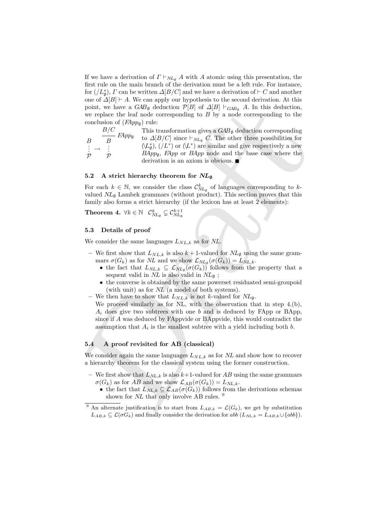If we have a derivation of  $\Gamma \vdash_{NL_\emptyset} A$  with A atomic using this presentation, the first rule on the main branch of the derivation must be a left rule. For instance, for  $($  $/L_{\emptyset}^*$  $)$ ,  $\Gamma$  can be written  $\Delta[B/C]$  and we have a derivation of  $\vdash C$  and another one of  $\Delta[B] \vdash A$ . We can apply our hypothesis to the second derivation. At this point, we have a  $GAB_{\emptyset}$  deduction  $\mathcal{P}[B]$  of  $\Delta[B] \vdash_{GAB_{\emptyset}} A$ . In this deduction, we replace the leaf node corresponding to  $B$  by a node corresponding to the conclusion of  $(FApp_{\emptyset})$  rule:

point, we have a *GMa* deduction  $\mathcal{P}[B]$  of  $\mathcal{L}[B]$ ,  $\mathcal{L}[B]$ , and this deduction,<br>we replace the leaf node corresponding to  $B$  by a node corresponding to the<br>conclusion of  $(R_2^2pp_B)$  tuge that is considered in t B . . . P  $\rightarrow$ B/C  $\frac{F}{B}$   $FApp_{\emptyset}$ . . P This transformation gives a  $GAB_{\emptyset}$  deduction corresponding to  $\Delta[B/C]$  since  $\vdash_{NL_\emptyset} C$ . The other three possibilities for  $(\mathcal{L}_{\emptyset}^*), (\mathcal{L}^*)$  or  $(\mathcal{L}^*)$  are similar and give respectively a new  $BApp<sub>\emptyset</sub>$ ,  $FApp$  or  $BApp$  node and the base case where the derivation is an axiom is obvious.

### 5.2 A strict hierarchy theorem for  $NL_{\emptyset}$

For each  $k \in \mathbb{N}$ , we consider the class  $\mathcal{C}_{NL_{\varnothing}}^k$  of languages corresponding to  $k$ valued  $NL_{\emptyset}$  Lambek grammars (without product). This section proves that this family also forms a strict hierarchy (if the lexicon has at least 2 elements):

Theorem 4.  $\forall k \in \mathbb{N}$   $\mathcal{C}_{NL_{\emptyset}}^{k} \subsetneq \mathcal{C}_{NL_{\emptyset}}^{k+1}$ 

#### 5.3 Details of proof

We consider the same languages  $L_{NL,k}$  as for NL.

- We first show that  $L_{NL,k}$  is also  $k+1$ -valued for  $NL_{\emptyset}$  using the same grammars  $\sigma(G_k)$  as for NL and we show  $\mathcal{L}_{NL_{\emptyset}}(\sigma(G_k)) = L_{NL,k}$ .
	- the fact that  $L_{NL,k} \subseteq \mathcal{L}_{NL_0}(\sigma(G_k))$  follows from the property that a sequent valid in  $NL$  is also valid in  $NL_{\emptyset}$ ;
	- the converse is obtained by the same powerset residuated semi-groupoid (with unit) as for NL (a model of both systems).
- We then have to show that  $L_{NL,k}$  is not k-valued for  $NL_{\emptyset}$ .
	- We proceed similarly as for NL, with the observation that in step 4.(b),  $A_i$  does give two subtrees with one b and is deduced by FApp or BApp, since if A was deduced by FAppvide or BAppvide, this would contradict the assumption that  $A_i$  is the smallest subtree with a yield including both b.

#### 5.4 A proof revisited for AB (classical)

We consider again the same languages  $L_{NL,k}$  as for NL and show how to recover a hierarchy theorem for the classical system using the former construction.

- We first show that  $L_{NL,k}$  is also  $k+1$ -valued for AB using the same grammars  $\sigma(G_k)$  as for AB and we show  $\mathcal{L}_{AB}(\sigma(G_k)) = L_{NL,k}$ .
	- the fact that  $\overline{L_{NL,k}} \subseteq \mathcal{L}_{AB}(\sigma(G_k))$  follows from the derivations schemas shown for  $NL$  that only involve AB rules.  $9$

<sup>&</sup>lt;sup>9</sup> An alternate justification is to start from  $L_{AB,k} = \mathcal{L}(G_k)$ , we get by substitution  $L_{AB,k} \subseteq \mathcal{L}(\sigma G_k)$  and finally consider the derivation for abb  $(L_{NL,k} = L_{AB,k} \cup \{abb\}).$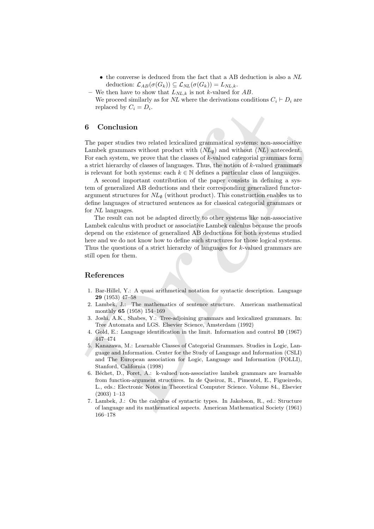- the converse is deduced from the fact that a AB deduction is also a NL deduction:  $\mathcal{L}_{AB}(\sigma(G_k)) \subseteq \mathcal{L}_{NL}(\sigma(G_k)) = L_{NL,k}$ .
- We then have to show that  $L_{NL,k}$  is not k-valued for AB.

We proceed similarly as for NL where the derivations conditions  $C_i \vdash D_i$  are replaced by  $C_i = D_i$ .

## 6 Conclusion

The paper studies two related lexicalized grammatical systems: non-associative Lambek grammars without product with  $(NL_{\emptyset})$  and without  $(NL)$  antecedent. For each system, we prove that the classes of  $k$ -valued categorial grammars form a strict hierarchy of classes of languages. Thus, the notion of  $k$ -valued grammars is relevant for both systems: each  $k \in \mathbb{N}$  defines a particular class of languages.

A second important contribution of the paper consists in defining a system of generalized AB deductions and their corresponding generalized functorargument structures for  $NL_{\emptyset}$  (without product). This construction enables us to define languages of structured sentences as for classical categorial grammars or for NL languages.

replaced by  $C_i = D_i$ .<br>
6 Conclusion<br>
The paper studies two related lexicalized grammatical systems non-associative<br>
Landake grammatical velocity ( $N_d$ ) and withering the studies are the studies of k-valued categorial gramm The result can not be adapted directly to other systems like non-associative Lambek calculus with product or associative Lambek calculus because the proofs depend on the existence of generalized AB deductions for both systems studied here and we do not know how to define such structures for those logical systems. Thus the questions of a strict hierarchy of languages for k-valued grammars are still open for them.

## References

- 1. Bar-Hillel, Y.: A quasi arithmetical notation for syntactic description. Language 29 (1953) 47–58
- 2. Lambek, J.: The mathematics of sentence structure. American mathematical monthly 65 (1958) 154–169
- 3. Joshi, A.K., Shabes, Y.: Tree-adjoining grammars and lexicalized grammars. In: Tree Automata and LGS. Elsevier Science, Amsterdam (1992)
- 4. Gold, E.: Language identification in the limit. Information and control 10 (1967) 447–474
- 5. Kanazawa, M.: Learnable Classes of Categorial Grammars. Studies in Logic, Language and Information. Center for the Study of Language and Information (CSLI) and The European association for Logic, Language and Information (FOLLI), Stanford, California (1998)
- 6. B´echet, D., Foret, A.: k-valued non-associative lambek grammars are learnable from function-argument structures. In de Queiroz, R., Pimentel, E., Figueiredo, L., eds.: Electronic Notes in Theoretical Computer Science. Volume 84., Elsevier (2003) 1–13
- 7. Lambek, J.: On the calculus of syntactic types. In Jakobson, R., ed.: Structure of language and its mathematical aspects. American Mathematical Society (1961) 166–178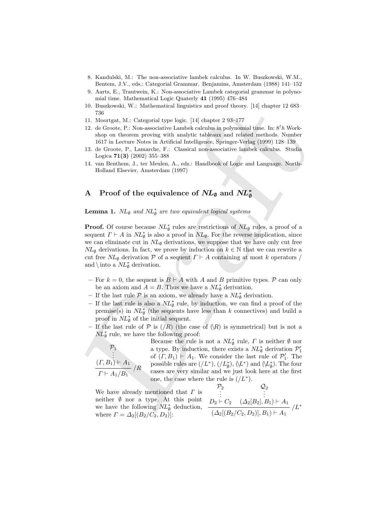- 8. Kandulski, M.: The non-associative lambek calculus. In W. Buszkowski, W.M., Bentem, J.V., eds.: Categorial Grammar. Benjamins, Amsterdam (1988) 141–152
- 9. Aarts, E., Trautwein, K.: Non-associative Lambek categorial grammar in polynomial time. Mathematical Logic Quaterly 41 (1995) 476–484
- 10. Buszkowski, W.: Mathematical linguistics and proof theory. [14] chapter 12 683– 736
- 11. Moortgat, M.: Categorial type logic. [14] chapter 2 93–177
- 12. de Groote, P.: Non-associative Lambek calculus in polynomial time. In:  $8<sup>t</sup>h$  Workshop on theorem proving with analytic tableaux and related methods. Number 1617 in Lecture Notes in Artificial Intelligence, Springer-Verlag (1999) 128–139
- 13. de Groote, P., Lamarche, F.: Classical non-associative lambek calculus. Studia Logica 71(3) (2002) 355–388
- 14. van Benthem, J., ter Meulen, A., eds.: Handbook of Logic and Language. North-Holland Elsevier, Amsterdam (1997)

#### A  $\;$  Proof of the equivalence of  $N\!L_{\emptyset}$  and  $N\!L_{\emptyset}^*$ ∅

**Lemma 1.**  $NL_{\emptyset}$  and  $NL_{\emptyset}^{*}$  are two equivalent logical systems

10. Buszkowski, W.: Mathematical intensities and proof theory. [14] chapter 12 684-<br>11. Monetgat, M.: Categorial type lagic, [14] chapter 248-177<br>12. Monetgate P. Now associative Lambels contribute in the fact in the Sh W **Proof.** Of course because  $\overline{NL}_{\emptyset}^*$  rules are restrictions of  $\overline{NL}_{\emptyset}$  rules, a proof of a sequent  $\Gamma \vdash A$  in  $\Delta L_{\emptyset}^*$  is also a proof in  $\Delta L_{\emptyset}$ . For the reverse implication, since we can eliminate cut in  $NL_{\emptyset}$  derivations, we suppose that we have only cut free  $NL_{\emptyset}$  derivations. In fact, we prove by induction on  $k \in \mathbb{N}$  that we can rewrite a cut free  $NL_{\emptyset}$  derivation P of a sequent  $\Gamma \vdash A$  containing at most k operators / and  $\int$  into a  $NL_{\emptyset}^*$  derivation.

- For  $k = 0$ , the sequent is  $B \vdash A$  with A and B primitive types. P can only be an axiom and  $A = B$ . Thus we have a  $NL^*_{\emptyset}$  derivation.
- If the last rule  $P$  is an axiom, we already have a  $NL^*_{\emptyset}$  derivation.
- If the last rule is also a  $\overline{NL}_{\emptyset}^*$  rule, by induction, we can find a proof of the premise(s) in  $NL_{\emptyset}^*$  (the sequents have less than k connectives) and build a proof in  $NL^*_{\emptyset}$  of the initial sequent.
- If the last rule of  $P$  is  $(/R)$  (the case of  $(R)$ ) is symmetrical) but is not a  $NL^*_{\emptyset}$  rule, we have the following proof:

 $\frac{P_1}{\vdots}$  $(\Gamma, B_1) \vdash A_1$ <br> $(R$  $\Gamma \vdash A_1/B_1$ 

Because the rule is not a  $NL^*_{\emptyset}$  $\frac{\ast}{\varnothing}$  rule,  $\Gamma$  is neither  $\varnothing$  nor a type. By induction, there exists a  $NL_{\emptyset}^*$  derivation  $\mathcal{P}'_1$  of  $(\Gamma, B_1) \vdash A_1$ . We consider the last rule of  $\mathcal{P}'_1$ . The possible rules are  $(\langle L^* \rangle, (\langle L^*_{\emptyset} \rangle, (\langle L^* \rangle \text{ and } \langle L^*_{\emptyset} \rangle)$ . The four cases are very similar and we just look here at the first one, the case where the rule is  $(f L^*).$ 

We have already mentioned that  $\Gamma$  is neither  $\emptyset$  nor a type. At this point we have the following  $NL^*_{\emptyset}$  deduction, where  $\Gamma = \Delta_2[(B_2/C_2, D_2)]$ :  $\begin{bmatrix} P_2 \\ P_1 \\ \vdots \end{bmatrix}$  $D_2 \vdash C_2$  $\frac{Q_2}{\vdots}$  $(\Delta_2[B_2], B_1) \vdash A_1$ <br> $(L^*$  $(\Delta_2[(B_2/C_2, D_2)], B_1 \vdash A_1$